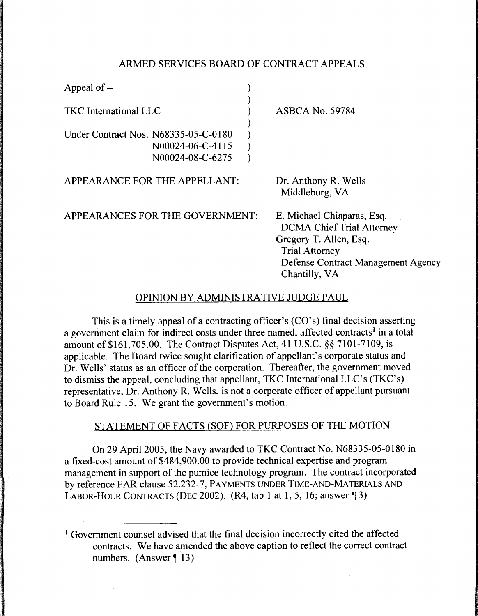### ARMED SERVICES BOARD OF CONTRACT APPEALS

| Appeal of --                                                                 |                                                                                                                                                                          |
|------------------------------------------------------------------------------|--------------------------------------------------------------------------------------------------------------------------------------------------------------------------|
| <b>TKC</b> International LLC                                                 | <b>ASBCA No. 59784</b>                                                                                                                                                   |
| Under Contract Nos. N68335-05-C-0180<br>N00024-06-C-4115<br>N00024-08-C-6275 |                                                                                                                                                                          |
| APPEARANCE FOR THE APPELLANT:                                                | Dr. Anthony R. Wells<br>Middleburg, VA                                                                                                                                   |
| APPEARANCES FOR THE GOVERNMENT:                                              | E. Michael Chiaparas, Esq.<br><b>DCMA Chief Trial Attorney</b><br>Gregory T. Allen, Esq.<br><b>Trial Attorney</b><br>Defense Contract Management Agency<br>Chantilly, VA |

# OPINION BY ADMINISTRATIVE JUDGE PAUL

This is a timely appeal of a contracting officer's (CO's) final decision asserting a government claim for indirect costs under three named, affected contracts<sup>1</sup> in a total amount of \$161,705.00. The Contract Disputes Act, 41 U.S.C. §§ 7101-7109, is applicable. The Board twice sought clarification of appellant's corporate status and Dr. Wells' status as an officer of the corporation. Thereafter, the government moved to dismiss the appeal, concluding that appellant, TKC International LLC's (TKC's) representative, Dr. Anthony R. Wells, is not a corporate officer of appellant pursuant to Board Rule 15. We grant the government's motion.

# STATEMENT OF FACTS (SOF) FOR PURPOSES OF THE MOTION

On 29 April 2005, the Navy awarded to TKC Contract No. N68335-05-0180 in a fixed-cost amount of \$484,900.00 to provide technical expertise and program management in support of the pumice technology program. The contract incorporated by reference FAR clause 52.232-7, PAYMENTS UNDER TIME-AND-MATERIALS AND LABOR-HOUR CONTRACTS (DEC 2002).  $(R4, tab 1 at 1, 5, 16; answer \textcolor{red}{\$3})$ 

<sup>&</sup>lt;sup>1</sup> Government counsel advised that the final decision incorrectly cited the affected contracts. We have amended the above caption to reflect the correct contract numbers. (Answer  $\P$  13)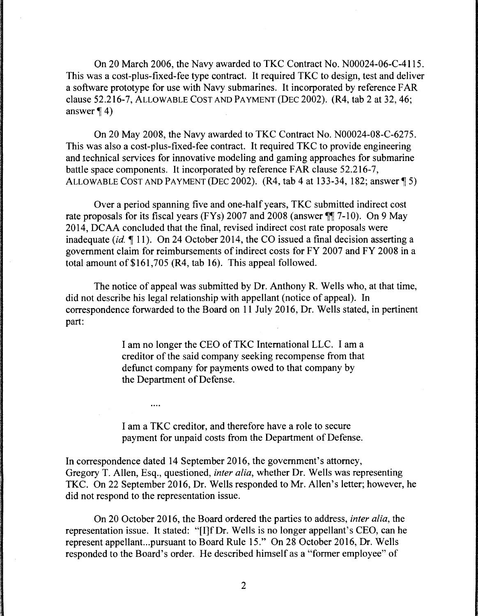On 20 March 2006, the Navy awarded to TKC Contract No. N00024-06-C-4115. This was a cost-plus-fixed-fee type contract. It required TKC to design, test and deliver a software prototype for use with Navy submarines. It incorporated by reference FAR clause 52.216-7, ALLOWABLE COST AND PAYMENT (DEC 2002). (R4, tab 2 at 32, 46; answer  $\P$  4)

On 20 May 2008, the Navy awarded to TKC Contract No. N00024-08-C-6275. This was also a cost-plus-fixed-fee contract. It required TKC to provide engineering and technical services for innovative modeling and gaming approaches for submarine battle space components. It incorporated by reference FAR clause 52.216-7, ALLOWABLE COST AND PAYMENT (DEC 2002).  $(R4, tab 4 at 133-34, 182; answer \text{T} 5)$ 

Over a period spanning five and one-half years, TKC submitted indirect cost rate proposals for its fiscal years (FYs) 2007 and 2008 (answer  $\P$ ] 7-10). On 9 May 2014, DCAA concluded that the final, revised indirect cost rate proposals were inadequate *(id.* 11). On 24 October 2014, the CO issued a final decision asserting a government claim for reimbursements of indirect costs for FY 2007 and FY 2008 in a total amount of \$161,705 (R4, tab 16). This appeal followed.

The notice of appeal was submitted by Dr. Anthony R. Wells who, at that time, did not describe his legal relationship with appellant (notice of appeal). In correspondence forwarded to the Board on 11 July 2016, Dr. Wells stated, in pertinent part:

> I am no longer the CEO ofTKC International LLC. I am a creditor of the said company seeking recompense from that defunct company for payments owed to that company by the Department of Defense.

I am a TKC creditor, and therefore have a role to secure payment for unpaid costs from the Department of Defense.

 $\ldots$ 

In correspondence dated 14 September 2016, the government's attorney, Gregory T. Allen, Esq., questioned, *inter alia,* whether Dr. Wells was representing TKC. On 22 September 2016, Dr. Wells responded to Mr. Allen's letter; however, he did not respond to the representation issue.

On 20 October 2016, the Board ordered the parties to address, *inter alia,* the representation issue. It stated: "[I]f Dr. Wells is no longer appellant's CEO, can he represent appellant...pursuant to Board Rule 15." On 28 October 2016, Dr. Wells responded to the Board's order. He described himself as a "former employee" of

2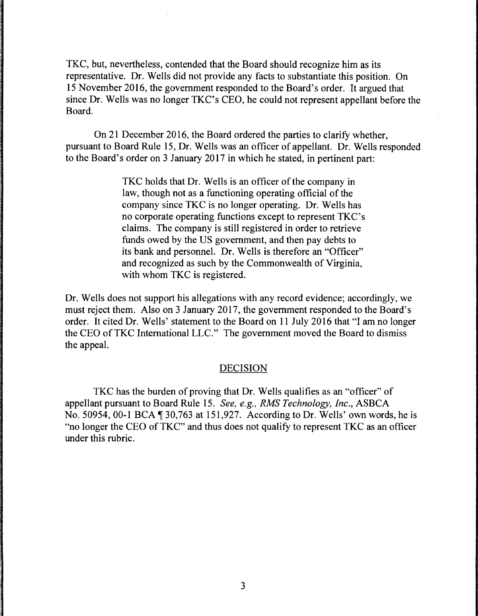TKC, but, nevertheless, contended that the Board should recognize him as its representative. Dr. Wells did not provide any facts to substantiate this position. On 15 November 2016, the government responded to the Board's order. It argued that since Dr. Wells was no longer TKC's CEO, he could not represent appellant before the Board.

On 21 December 2016, the Board ordered the parties to clarify whether, pursuant to Board Rule 15, Dr. Wells was an officer of appellant. Dr. Wells responded to the Board's order on 3 January 2017 in which he stated, in pertinent part:

> TKC holds that Dr. Wells is an officer of the company in law, though not as a functioning operating official of the company since TKC is no longer operating. Dr. Wells has no corporate operating functions except to represent TKC's claims. The company is still registered in order to retrieve funds owed by the US government, and then pay debts to its bank and personnel. Dr. Wells is therefore an "Officer" and recognized as such by the Commonwealth of Virginia, with whom TKC is registered.

Dr. Wells does not support his allegations with any record evidence; accordingly, we must reject them. Also on 3 January 2017, the government responded to the Board's order. It cited Dr. Wells' statement to the Board on 11 July 2016 that "I am no longer the CEO of TKC International LLC." The government moved the Board to dismiss the appeal.

### DECISION

TKC has the burden of proving that Dr. Wells qualifies as an "officer" of appellant pursuant to Board Rule 15. *See, e.g., RMS Technology, Inc., ASBCA* No. 50954, 00-1 BCA  $\P$  30,763 at 151,927. According to Dr. Wells' own words, he is "no longer the CEO of TKC" and thus does not qualify to represent TKC as an officer under this rubric.